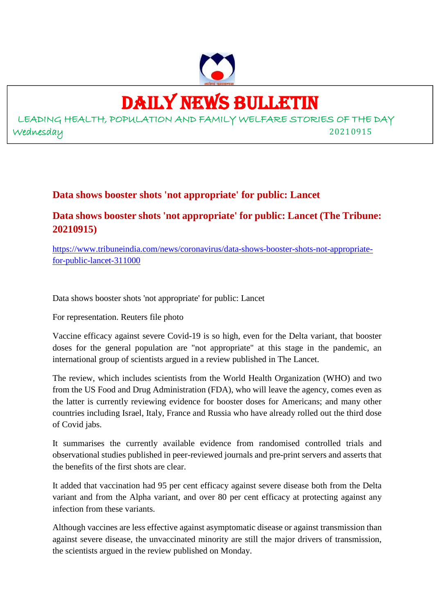

# DAILY NEWS BULLETIN

LEADING HEALTH, POPULATION AND FAMILY WELFARE STORIES OF THE DAY Wednesday 20210915

### **Data shows booster shots 'not appropriate' for public: Lancet**

# **Data shows booster shots 'not appropriate' for public: Lancet (The Tribune: 20210915)**

https://www.tribuneindia.com/news/coronavirus/data-shows-booster-shots-not-appropriatefor-public-lancet-311000

Data shows booster shots 'not appropriate' for public: Lancet

For representation. Reuters file photo

Vaccine efficacy against severe Covid-19 is so high, even for the Delta variant, that booster doses for the general population are "not appropriate" at this stage in the pandemic, an international group of scientists argued in a review published in The Lancet.

The review, which includes scientists from the World Health Organization (WHO) and two from the US Food and Drug Administration (FDA), who will leave the agency, comes even as the latter is currently reviewing evidence for booster doses for Americans; and many other countries including Israel, Italy, France and Russia who have already rolled out the third dose of Covid jabs.

It summarises the currently available evidence from randomised controlled trials and observational studies published in peer-reviewed journals and pre-print servers and asserts that the benefits of the first shots are clear.

It added that vaccination had 95 per cent efficacy against severe disease both from the Delta variant and from the Alpha variant, and over 80 per cent efficacy at protecting against any infection from these variants.

Although vaccines are less effective against asymptomatic disease or against transmission than against severe disease, the unvaccinated minority are still the major drivers of transmission, the scientists argued in the review published on Monday.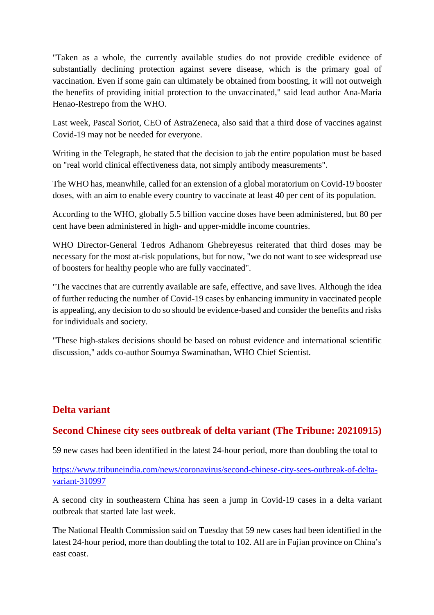"Taken as a whole, the currently available studies do not provide credible evidence of substantially declining protection against severe disease, which is the primary goal of vaccination. Even if some gain can ultimately be obtained from boosting, it will not outweigh the benefits of providing initial protection to the unvaccinated," said lead author Ana-Maria Henao-Restrepo from the WHO.

Last week, Pascal Soriot, CEO of AstraZeneca, also said that a third dose of vaccines against Covid-19 may not be needed for everyone.

Writing in the Telegraph, he stated that the decision to jab the entire population must be based on "real world clinical effectiveness data, not simply antibody measurements".

The WHO has, meanwhile, called for an extension of a global moratorium on Covid-19 booster doses, with an aim to enable every country to vaccinate at least 40 per cent of its population.

According to the WHO, globally 5.5 billion vaccine doses have been administered, but 80 per cent have been administered in high- and upper-middle income countries.

WHO Director-General Tedros Adhanom Ghebreyesus reiterated that third doses may be necessary for the most at-risk populations, but for now, "we do not want to see widespread use of boosters for healthy people who are fully vaccinated".

"The vaccines that are currently available are safe, effective, and save lives. Although the idea of further reducing the number of Covid-19 cases by enhancing immunity in vaccinated people is appealing, any decision to do so should be evidence-based and consider the benefits and risks for individuals and society.

"These high-stakes decisions should be based on robust evidence and international scientific discussion," adds co-author Soumya Swaminathan, WHO Chief Scientist.

# **Delta variant**

#### **Second Chinese city sees outbreak of delta variant (The Tribune: 20210915)**

59 new cases had been identified in the latest 24-hour period, more than doubling the total to

https://www.tribuneindia.com/news/coronavirus/second-chinese-city-sees-outbreak-of-deltavariant-310997

A second city in southeastern China has seen a jump in Covid-19 cases in a delta variant outbreak that started late last week.

The National Health Commission said on Tuesday that 59 new cases had been identified in the latest 24-hour period, more than doubling the total to 102. All are in Fujian province on China's east coast.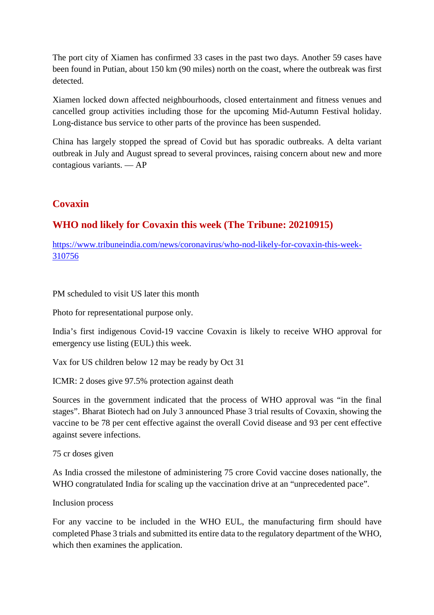The port city of Xiamen has confirmed 33 cases in the past two days. Another 59 cases have been found in Putian, about 150 km (90 miles) north on the coast, where the outbreak was first detected.

Xiamen locked down affected neighbourhoods, closed entertainment and fitness venues and cancelled group activities including those for the upcoming Mid-Autumn Festival holiday. Long-distance bus service to other parts of the province has been suspended.

China has largely stopped the spread of Covid but has sporadic outbreaks. A delta variant outbreak in July and August spread to several provinces, raising concern about new and more contagious variants. — AP

### **Covaxin**

# **WHO nod likely for Covaxin this week (The Tribune: 20210915)**

https://www.tribuneindia.com/news/coronavirus/who-nod-likely-for-covaxin-this-week-310756

PM scheduled to visit US later this month

Photo for representational purpose only.

India's first indigenous Covid-19 vaccine Covaxin is likely to receive WHO approval for emergency use listing (EUL) this week.

Vax for US children below 12 may be ready by Oct 31

ICMR: 2 doses give 97.5% protection against death

Sources in the government indicated that the process of WHO approval was "in the final stages". Bharat Biotech had on July 3 announced Phase 3 trial results of Covaxin, showing the vaccine to be 78 per cent effective against the overall Covid disease and 93 per cent effective against severe infections.

75 cr doses given

As India crossed the milestone of administering 75 crore Covid vaccine doses nationally, the WHO congratulated India for scaling up the vaccination drive at an "unprecedented pace".

Inclusion process

For any vaccine to be included in the WHO EUL, the manufacturing firm should have completed Phase 3 trials and submitted its entire data to the regulatory department of the WHO, which then examines the application.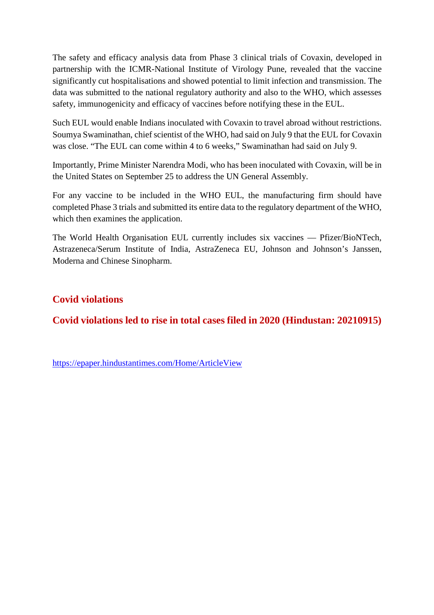The safety and efficacy analysis data from Phase 3 clinical trials of Covaxin, developed in partnership with the ICMR-National Institute of Virology Pune, revealed that the vaccine significantly cut hospitalisations and showed potential to limit infection and transmission. The data was submitted to the national regulatory authority and also to the WHO, which assesses safety, immunogenicity and efficacy of vaccines before notifying these in the EUL.

Such EUL would enable Indians inoculated with Covaxin to travel abroad without restrictions. Soumya Swaminathan, chief scientist of the WHO, had said on July 9 that the EUL for Covaxin was close. "The EUL can come within 4 to 6 weeks," Swaminathan had said on July 9.

Importantly, Prime Minister Narendra Modi, who has been inoculated with Covaxin, will be in the United States on September 25 to address the UN General Assembly.

For any vaccine to be included in the WHO EUL, the manufacturing firm should have completed Phase 3 trials and submitted its entire data to the regulatory department of the WHO, which then examines the application.

The World Health Organisation EUL currently includes six vaccines — Pfizer/BioNTech, Astrazeneca/Serum Institute of India, AstraZeneca EU, Johnson and Johnson's Janssen, Moderna and Chinese Sinopharm.

# **Covid violations**

# **Covid violations led to rise in total cases filed in 2020 (Hindustan: 20210915)**

https://epaper.hindustantimes.com/Home/ArticleView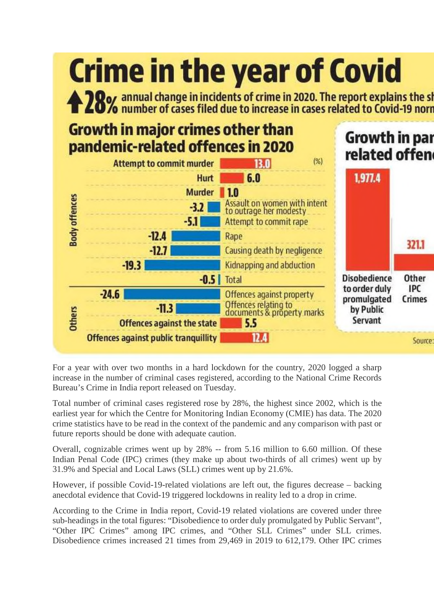

For a year with over two months in a hard lockdown for the country, 2020 logged a sharp increase in the number of criminal cases registered, according to the National Crime Records Bureau's Crime in India report released on Tuesday.

Total number of criminal cases registered rose by 28%, the highest since 2002, which is the earliest year for which the Centre for Monitoring Indian Economy (CMIE) has data. The 2020 crime statistics have to be read in the context of the pandemic and any comparison with past or future reports should be done with adequate caution.

Overall, cognizable crimes went up by 28% -- from 5.16 million to 6.60 million. Of these Indian Penal Code (IPC) crimes (they make up about two-thirds of all crimes) went up by 31.9% and Special and Local Laws (SLL) crimes went up by 21.6%.

However, if possible Covid-19-related violations are left out, the figures decrease – backing anecdotal evidence that Covid-19 triggered lockdowns in reality led to a drop in crime.

According to the Crime in India report, Covid-19 related violations are covered under three sub-headings in the total figures: "Disobedience to order duly promulgated by Public Servant", "Other IPC Crimes" among IPC crimes, and "Other SLL Crimes" under SLL crimes. Disobedience crimes increased 21 times from 29,469 in 2019 to 612,179. Other IPC crimes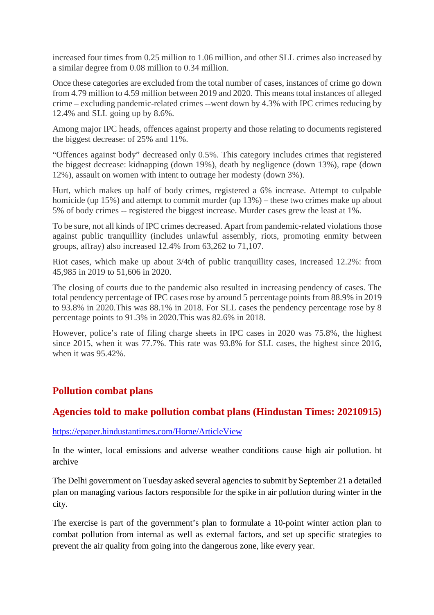increased four times from 0.25 million to 1.06 million, and other SLL crimes also increased by a similar degree from 0.08 million to 0.34 million.

Once these categories are excluded from the total number of cases, instances of crime go down from 4.79 million to 4.59 million between 2019 and 2020. This means total instances of alleged crime – excluding pandemic-related crimes --went down by 4.3% with IPC crimes reducing by 12.4% and SLL going up by 8.6%.

Among major IPC heads, offences against property and those relating to documents registered the biggest decrease: of 25% and 11%.

"Offences against body" decreased only 0.5%. This category includes crimes that registered the biggest decrease: kidnapping (down 19%), death by negligence (down 13%), rape (down 12%), assault on women with intent to outrage her modesty (down 3%).

Hurt, which makes up half of body crimes, registered a 6% increase. Attempt to culpable homicide (up 15%) and attempt to commit murder (up 13%) – these two crimes make up about 5% of body crimes -- registered the biggest increase. Murder cases grew the least at 1%.

To be sure, not all kinds of IPC crimes decreased. Apart from pandemic-related violations those against public tranquillity (includes unlawful assembly, riots, promoting enmity between groups, affray) also increased 12.4% from 63,262 to 71,107.

Riot cases, which make up about 3/4th of public tranquillity cases, increased 12.2%: from 45,985 in 2019 to 51,606 in 2020.

The closing of courts due to the pandemic also resulted in increasing pendency of cases. The total pendency percentage of IPC cases rose by around 5 percentage points from 88.9% in 2019 to 93.8% in 2020.This was 88.1% in 2018. For SLL cases the pendency percentage rose by 8 percentage points to 91.3% in 2020.This was 82.6% in 2018.

However, police's rate of filing charge sheets in IPC cases in 2020 was 75.8%, the highest since 2015, when it was 77.7%. This rate was 93.8% for SLL cases, the highest since 2016, when it was 95.42%.

#### **Pollution combat plans**

#### **Agencies told to make pollution combat plans (Hindustan Times: 20210915)**

https://epaper.hindustantimes.com/Home/ArticleView

In the winter, local emissions and adverse weather conditions cause high air pollution. ht archive

The Delhi government on Tuesday asked several agencies to submit by September 21 a detailed plan on managing various factors responsible for the spike in air pollution during winter in the city.

The exercise is part of the government's plan to formulate a 10-point winter action plan to combat pollution from internal as well as external factors, and set up specific strategies to prevent the air quality from going into the dangerous zone, like every year.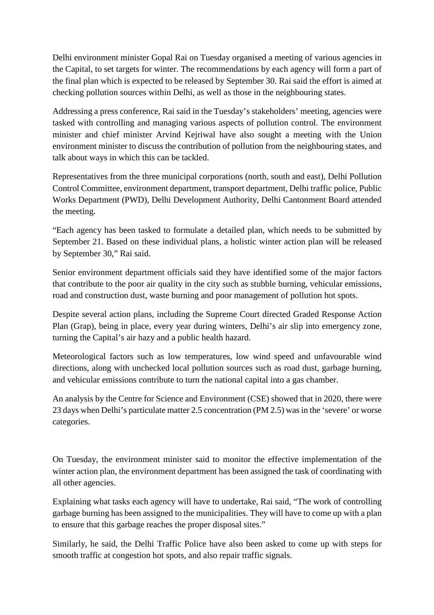Delhi environment minister Gopal Rai on Tuesday organised a meeting of various agencies in the Capital, to set targets for winter. The recommendations by each agency will form a part of the final plan which is expected to be released by September 30. Rai said the effort is aimed at checking pollution sources within Delhi, as well as those in the neighbouring states.

Addressing a press conference, Rai said in the Tuesday's stakeholders' meeting, agencies were tasked with controlling and managing various aspects of pollution control. The environment minister and chief minister Arvind Kejriwal have also sought a meeting with the Union environment minister to discuss the contribution of pollution from the neighbouring states, and talk about ways in which this can be tackled.

Representatives from the three municipal corporations (north, south and east), Delhi Pollution Control Committee, environment department, transport department, Delhi traffic police, Public Works Department (PWD), Delhi Development Authority, Delhi Cantonment Board attended the meeting.

"Each agency has been tasked to formulate a detailed plan, which needs to be submitted by September 21. Based on these individual plans, a holistic winter action plan will be released by September 30," Rai said.

Senior environment department officials said they have identified some of the major factors that contribute to the poor air quality in the city such as stubble burning, vehicular emissions, road and construction dust, waste burning and poor management of pollution hot spots.

Despite several action plans, including the Supreme Court directed Graded Response Action Plan (Grap), being in place, every year during winters, Delhi's air slip into emergency zone, turning the Capital's air hazy and a public health hazard.

Meteorological factors such as low temperatures, low wind speed and unfavourable wind directions, along with unchecked local pollution sources such as road dust, garbage burning, and vehicular emissions contribute to turn the national capital into a gas chamber.

An analysis by the Centre for Science and Environment (CSE) showed that in 2020, there were 23 days when Delhi's particulate matter 2.5 concentration (PM 2.5) was in the 'severe' or worse categories.

On Tuesday, the environment minister said to monitor the effective implementation of the winter action plan, the environment department has been assigned the task of coordinating with all other agencies.

Explaining what tasks each agency will have to undertake, Rai said, "The work of controlling garbage burning has been assigned to the municipalities. They will have to come up with a plan to ensure that this garbage reaches the proper disposal sites."

Similarly, he said, the Delhi Traffic Police have also been asked to come up with steps for smooth traffic at congestion hot spots, and also repair traffic signals.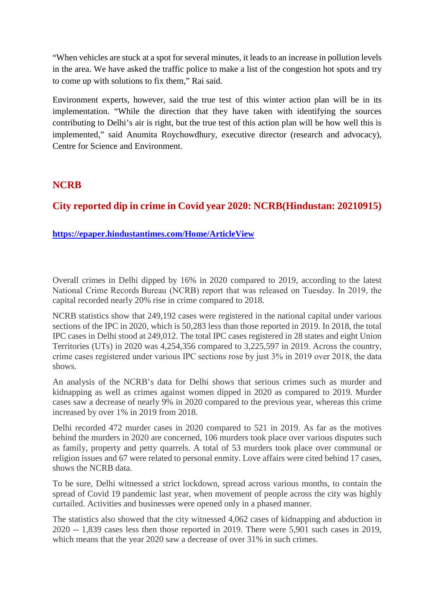"When vehicles are stuck at a spot for several minutes, it leads to an increase in pollution levels in the area. We have asked the traffic police to make a list of the congestion hot spots and try to come up with solutions to fix them," Rai said.

Environment experts, however, said the true test of this winter action plan will be in its implementation. "While the direction that they have taken with identifying the sources contributing to Delhi's air is right, but the true test of this action plan will be how well this is implemented," said Anumita Roychowdhury, executive director (research and advocacy), Centre for Science and Environment.

#### **NCRB**

# **City reported dip in crime in Covid year 2020: NCRB(Hindustan: 20210915)**

#### **https://epaper.hindustantimes.com/Home/ArticleView**

Overall crimes in Delhi dipped by 16% in 2020 compared to 2019, according to the latest National Crime Records Bureau (NCRB) report that was released on Tuesday. In 2019, the capital recorded nearly 20% rise in crime compared to 2018.

NCRB statistics show that 249,192 cases were registered in the national capital under various sections of the IPC in 2020, which is 50,283 less than those reported in 2019. In 2018, the total IPC cases in Delhi stood at 249,012. The total IPC cases registered in 28 states and eight Union Territories (UTs) in 2020 was 4,254,356 compared to 3,225,597 in 2019. Across the country, crime cases registered under various IPC sections rose by just 3% in 2019 over 2018, the data shows.

An analysis of the NCRB's data for Delhi shows that serious crimes such as murder and kidnapping as well as crimes against women dipped in 2020 as compared to 2019. Murder cases saw a decrease of nearly 9% in 2020 compared to the previous year, whereas this crime increased by over 1% in 2019 from 2018.

Delhi recorded 472 murder cases in 2020 compared to 521 in 2019. As far as the motives behind the murders in 2020 are concerned, 106 murders took place over various disputes such as family, property and petty quarrels. A total of 53 murders took place over communal or religion issues and 67 were related to personal enmity. Love affairs were cited behind 17 cases, shows the NCRB data.

To be sure, Delhi witnessed a strict lockdown, spread across various months, to contain the spread of Covid 19 pandemic last year, when movement of people across the city was highly curtailed. Activities and businesses were opened only in a phased manner.

The statistics also showed that the city witnessed 4,062 cases of kidnapping and abduction in 2020 -- 1,839 cases less then those reported in 2019. There were 5,901 such cases in 2019, which means that the year 2020 saw a decrease of over 31% in such crimes.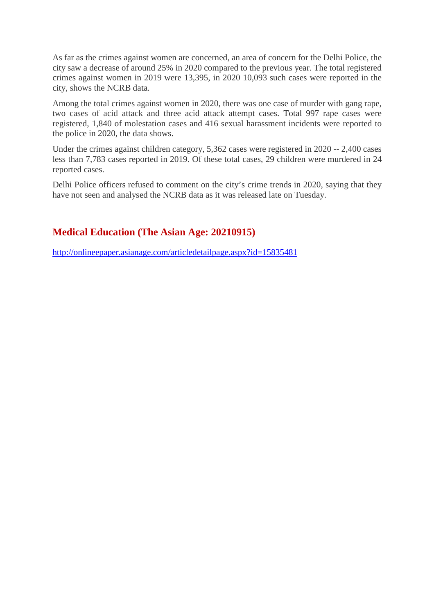As far as the crimes against women are concerned, an area of concern for the Delhi Police, the city saw a decrease of around 25% in 2020 compared to the previous year. The total registered crimes against women in 2019 were 13,395, in 2020 10,093 such cases were reported in the city, shows the NCRB data.

Among the total crimes against women in 2020, there was one case of murder with gang rape, two cases of acid attack and three acid attack attempt cases. Total 997 rape cases were registered, 1,840 of molestation cases and 416 sexual harassment incidents were reported to the police in 2020, the data shows.

Under the crimes against children category, 5,362 cases were registered in 2020 -- 2,400 cases less than 7,783 cases reported in 2019. Of these total cases, 29 children were murdered in 24 reported cases.

Delhi Police officers refused to comment on the city's crime trends in 2020, saying that they have not seen and analysed the NCRB data as it was released late on Tuesday.

# **Medical Education (The Asian Age: 20210915)**

http://onlineepaper.asianage.com/articledetailpage.aspx?id=15835481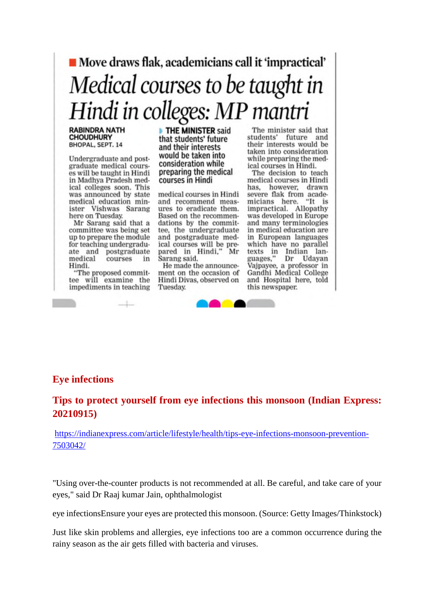# Move draws flak, academicians call it 'impractical' Medical courses to be taught in Hindi in colleges: MP mantri

#### **RABINDRA NATH CHOUDHURY** BHOPAL, SEPT. 14

Undergraduate and postgraduate medical courses will be taught in Hindi in Madhya Pradesh medical colleges soon. This was announced by state medical education minister Vishwas Sarang here on Tuesday.

Mr Sarang said that a committee was being set up to prepare the module for teaching undergraduate and postgraduate medical courses in Hindi.

"The proposed committee will examine the impediments in teaching

THE MINISTER said that students' future and their interests would be taken into consideration while preparing the medical courses in Hindi

medical courses in Hindi and recommend measures to eradicate them. Based on the recommendations by the committee, the undergraduate and postgraduate medical courses will be prepared in Hindi," Mr Sarang said.

He made the announcement on the occasion of Hindi Divas, observed on Tuesday.

The minister said that students' future and their interests would be taken into consideration while preparing the medical courses in Hindi.

The decision to teach medical courses in Hindi has, however, drawn severe flak from acade-"It is micians here. impractical. Allopathy<br>was developed in Europe and many terminologies in medical education are in European languages which have no parallel texts in Indian languages," Udayan Dr Vajpayee, a professor in Gandhi Medical College and Hospital here, told this newspaper.



#### **Eye infections**

# **Tips to protect yourself from eye infections this monsoon (Indian Express: 20210915)**

https://indianexpress.com/article/lifestyle/health/tips-eye-infections-monsoon-prevention-7503042/

"Using over-the-counter products is not recommended at all. Be careful, and take care of your eyes," said Dr Raaj kumar Jain, ophthalmologist

eye infectionsEnsure your eyes are protected this monsoon. (Source: Getty Images/Thinkstock)

Just like skin problems and allergies, eye infections too are a common occurrence during the rainy season as the air gets filled with bacteria and viruses.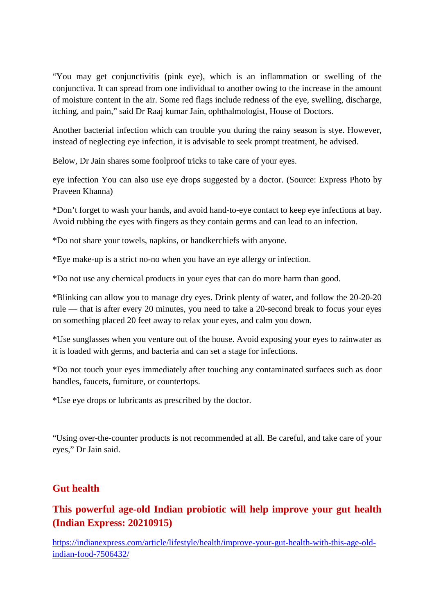"You may get conjunctivitis (pink eye), which is an inflammation or swelling of the conjunctiva. It can spread from one individual to another owing to the increase in the amount of moisture content in the air. Some red flags include redness of the eye, swelling, discharge, itching, and pain," said Dr Raaj kumar Jain, ophthalmologist, House of Doctors.

Another bacterial infection which can trouble you during the rainy season is stye. However, instead of neglecting eye infection, it is advisable to seek prompt treatment, he advised.

Below, Dr Jain shares some foolproof tricks to take care of your eyes.

eye infection You can also use eye drops suggested by a doctor. (Source: Express Photo by Praveen Khanna)

\*Don't forget to wash your hands, and avoid hand-to-eye contact to keep eye infections at bay. Avoid rubbing the eyes with fingers as they contain germs and can lead to an infection.

\*Do not share your towels, napkins, or handkerchiefs with anyone.

\*Eye make-up is a strict no-no when you have an eye allergy or infection.

\*Do not use any chemical products in your eyes that can do more harm than good.

\*Blinking can allow you to manage dry eyes. Drink plenty of water, and follow the 20-20-20 rule — that is after every 20 minutes, you need to take a 20-second break to focus your eyes on something placed 20 feet away to relax your eyes, and calm you down.

\*Use sunglasses when you venture out of the house. Avoid exposing your eyes to rainwater as it is loaded with germs, and bacteria and can set a stage for infections.

\*Do not touch your eyes immediately after touching any contaminated surfaces such as door handles, faucets, furniture, or countertops.

\*Use eye drops or lubricants as prescribed by the doctor.

"Using over-the-counter products is not recommended at all. Be careful, and take care of your eyes," Dr Jain said.

# **Gut health**

# **This powerful age-old Indian probiotic will help improve your gut health (Indian Express: 20210915)**

https://indianexpress.com/article/lifestyle/health/improve-your-gut-health-with-this-age-oldindian-food-7506432/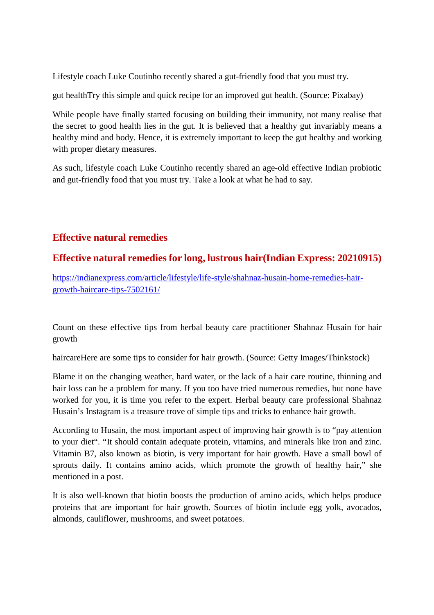Lifestyle coach Luke Coutinho recently shared a gut-friendly food that you must try.

gut healthTry this simple and quick recipe for an improved gut health. (Source: Pixabay)

While people have finally started focusing on building their immunity, not many realise that the secret to good health lies in the gut. It is believed that a healthy gut invariably means a healthy mind and body. Hence, it is extremely important to keep the gut healthy and working with proper dietary measures.

As such, lifestyle coach Luke Coutinho recently shared an age-old effective Indian probiotic and gut-friendly food that you must try. Take a look at what he had to say.

#### **Effective natural remedies**

### **Effective natural remedies for long, lustrous hair(Indian Express: 20210915)**

https://indianexpress.com/article/lifestyle/life-style/shahnaz-husain-home-remedies-hairgrowth-haircare-tips-7502161/

Count on these effective tips from herbal beauty care practitioner Shahnaz Husain for hair growth

haircareHere are some tips to consider for hair growth. (Source: Getty Images/Thinkstock)

Blame it on the changing weather, hard water, or the lack of a hair care routine, thinning and hair loss can be a problem for many. If you too have tried numerous remedies, but none have worked for you, it is time you refer to the expert. Herbal beauty care professional Shahnaz Husain's Instagram is a treasure trove of simple tips and tricks to enhance hair growth.

According to Husain, the most important aspect of improving hair growth is to "pay attention to your diet". "It should contain adequate protein, vitamins, and minerals like iron and zinc. Vitamin B7, also known as biotin, is very important for hair growth. Have a small bowl of sprouts daily. It contains amino acids, which promote the growth of healthy hair," she mentioned in a post.

It is also well-known that biotin boosts the production of amino acids, which helps produce proteins that are important for hair growth. Sources of biotin include egg yolk, avocados, almonds, cauliflower, mushrooms, and sweet potatoes.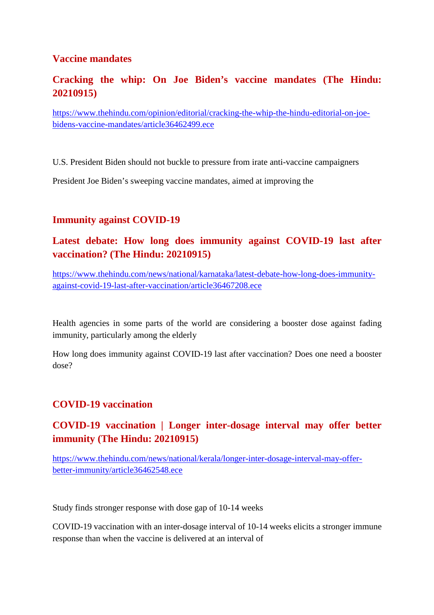#### **Vaccine mandates**

# **Cracking the whip: On Joe Biden's vaccine mandates (The Hindu: 20210915)**

https://www.thehindu.com/opinion/editorial/cracking-the-whip-the-hindu-editorial-on-joebidens-vaccine-mandates/article36462499.ece

U.S. President Biden should not buckle to pressure from irate anti-vaccine campaigners

President Joe Biden's sweeping vaccine mandates, aimed at improving the

### **Immunity against COVID-19**

# **Latest debate: How long does immunity against COVID-19 last after vaccination? (The Hindu: 20210915)**

https://www.thehindu.com/news/national/karnataka/latest-debate-how-long-does-immunityagainst-covid-19-last-after-vaccination/article36467208.ece

Health agencies in some parts of the world are considering a booster dose against fading immunity, particularly among the elderly

How long does immunity against COVID-19 last after vaccination? Does one need a booster dose?

#### **COVID-19 vaccination**

# **COVID-19 vaccination | Longer inter-dosage interval may offer better immunity (The Hindu: 20210915)**

https://www.thehindu.com/news/national/kerala/longer-inter-dosage-interval-may-offerbetter-immunity/article36462548.ece

Study finds stronger response with dose gap of 10-14 weeks

COVID-19 vaccination with an inter-dosage interval of 10-14 weeks elicits a stronger immune response than when the vaccine is delivered at an interval of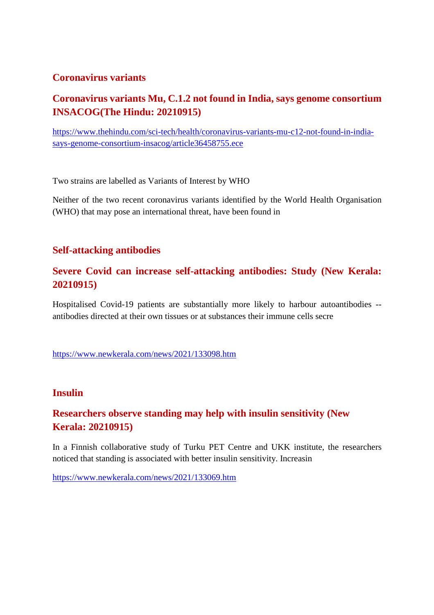#### **Coronavirus variants**

# **Coronavirus variants Mu, C.1.2 not found in India, says genome consortium INSACOG(The Hindu: 20210915)**

https://www.thehindu.com/sci-tech/health/coronavirus-variants-mu-c12-not-found-in-indiasays-genome-consortium-insacog/article36458755.ece

Two strains are labelled as Variants of Interest by WHO

Neither of the two recent coronavirus variants identified by the World Health Organisation (WHO) that may pose an international threat, have been found in

#### **Self-attacking antibodies**

### **Severe Covid can increase self-attacking antibodies: Study (New Kerala: 20210915)**

Hospitalised Covid-19 patients are substantially more likely to harbour autoantibodies - antibodies directed at their own tissues or at substances their immune cells secre

https://www.newkerala.com/news/2021/133098.htm

#### **Insulin**

# **Researchers observe standing may help with insulin sensitivity (New Kerala: 20210915)**

In a Finnish collaborative study of Turku PET Centre and UKK institute, the researchers noticed that standing is associated with better insulin sensitivity. Increasin

https://www.newkerala.com/news/2021/133069.htm